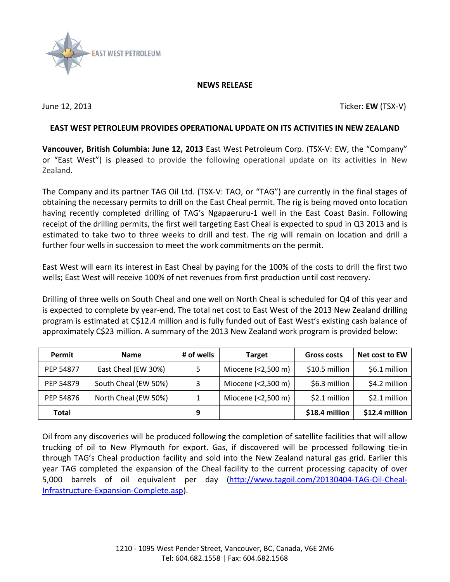

## **NEWS RELEASE**

June 12, 2013 Ticker: **EW** (TSX-V)

## **EAST WEST PETROLEUM PROVIDES OPERATIONAL UPDATE ON ITS ACTIVITIES IN NEW ZEALAND**

**Vancouver, British Columbia: June 12, 2013** East West Petroleum Corp. (TSX-V: EW, the "Company" or "East West") is pleased to provide the following operational update on its activities in New Zealand.

The Company and its partner TAG Oil Ltd. (TSX-V: TAO, or "TAG") are currently in the final stages of obtaining the necessary permits to drill on the East Cheal permit. The rig is being moved onto location having recently completed drilling of TAG's Ngapaeruru-1 well in the East Coast Basin. Following receipt of the drilling permits, the first well targeting East Cheal is expected to spud in Q3 2013 and is estimated to take two to three weeks to drill and test. The rig will remain on location and drill a further four wells in succession to meet the work commitments on the permit.

East West will earn its interest in East Cheal by paying for the 100% of the costs to drill the first two wells; East West will receive 100% of net revenues from first production until cost recovery.

Drilling of three wells on South Cheal and one well on North Cheal is scheduled for Q4 of this year and is expected to complete by year-end. The total net cost to East West of the 2013 New Zealand drilling program is estimated at C\$12.4 million and is fully funded out of East West's existing cash balance of approximately C\$23 million. A summary of the 2013 New Zealand work program is provided below:

| Permit       | <b>Name</b>          | # of wells | <b>Target</b>      | Gross costs    | <b>Net cost to EW</b> |
|--------------|----------------------|------------|--------------------|----------------|-----------------------|
| PEP 54877    | East Cheal (EW 30%)  | 5          | Miocene (<2,500 m) | \$10.5 million | \$6.1 million         |
| PEP 54879    | South Cheal (EW 50%) |            | Miocene (<2,500 m) | \$6.3 million  | \$4.2 million         |
| PEP 54876    | North Cheal (EW 50%) |            | Miocene (<2,500 m) | $$2.1$ million | \$2.1 million         |
| <b>Total</b> |                      | 9          |                    | \$18.4 million | \$12.4 million        |

Oil from any discoveries will be produced following the completion of satellite facilities that will allow trucking of oil to New Plymouth for export. Gas, if discovered will be processed following tie-in through TAG's Cheal production facility and sold into the New Zealand natural gas grid. Earlier this year TAG completed the expansion of the Cheal facility to the current processing capacity of over 5,000 barrels of oil equivalent per day [\(http://www.tagoil.com/20130404-TAG-Oil-Cheal-](http://www.tagoil.com/20130404-TAG-Oil-Cheal-Infrastructure-Expansion-Complete.asp)[Infrastructure-Expansion-Complete.asp\)](http://www.tagoil.com/20130404-TAG-Oil-Cheal-Infrastructure-Expansion-Complete.asp).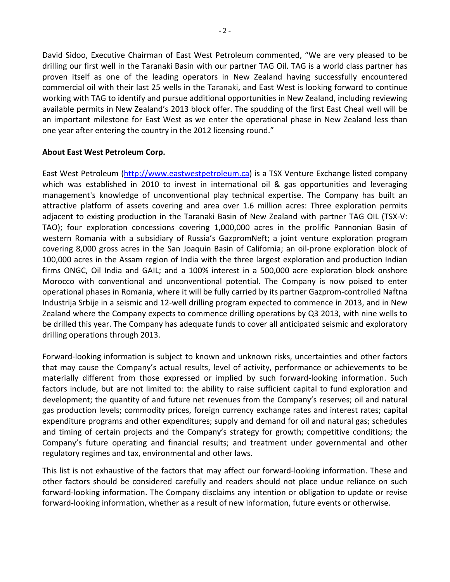David Sidoo, Executive Chairman of East West Petroleum commented, "We are very pleased to be drilling our first well in the Taranaki Basin with our partner TAG Oil. TAG is a world class partner has proven itself as one of the leading operators in New Zealand having successfully encountered commercial oil with their last 25 wells in the Taranaki, and East West is looking forward to continue working with TAG to identify and pursue additional opportunities in New Zealand, including reviewing available permits in New Zealand's 2013 block offer. The spudding of the first East Cheal well will be an important milestone for East West as we enter the operational phase in New Zealand less than one year after entering the country in the 2012 licensing round."

## **About East West Petroleum Corp.**

East West Petroleum [\(http://www.eastwestpetroleum.ca\)](http://www.eastwestpetroleum.ca/) is a TSX Venture Exchange listed company which was established in 2010 to invest in international oil & gas opportunities and leveraging management's knowledge of unconventional play technical expertise. The Company has built an attractive platform of assets covering and area over 1.6 million acres: Three exploration permits adjacent to existing production in the Taranaki Basin of New Zealand with partner TAG OIL (TSX-V: TAO); four exploration concessions covering 1,000,000 acres in the prolific Pannonian Basin of western Romania with a subsidiary of Russia's GazpromNeft; a joint venture exploration program covering 8,000 gross acres in the San Joaquin Basin of California; an oil-prone exploration block of 100,000 acres in the Assam region of India with the three largest exploration and production Indian firms ONGC, Oil India and GAIL; and a 100% interest in a 500,000 acre exploration block onshore Morocco with conventional and unconventional potential. The Company is now poised to enter operational phases in Romania, where it will be fully carried by its partner Gazprom-controlled Naftna Industrija Srbije in a seismic and 12-well drilling program expected to commence in 2013, and in New Zealand where the Company expects to commence drilling operations by Q3 2013, with nine wells to be drilled this year. The Company has adequate funds to cover all anticipated seismic and exploratory drilling operations through 2013.

Forward-looking information is subject to known and unknown risks, uncertainties and other factors that may cause the Company's actual results, level of activity, performance or achievements to be materially different from those expressed or implied by such forward-looking information. Such factors include, but are not limited to: the ability to raise sufficient capital to fund exploration and development; the quantity of and future net revenues from the Company's reserves; oil and natural gas production levels; commodity prices, foreign currency exchange rates and interest rates; capital expenditure programs and other expenditures; supply and demand for oil and natural gas; schedules and timing of certain projects and the Company's strategy for growth; competitive conditions; the Company's future operating and financial results; and treatment under governmental and other regulatory regimes and tax, environmental and other laws.

This list is not exhaustive of the factors that may affect our forward-looking information. These and other factors should be considered carefully and readers should not place undue reliance on such forward-looking information. The Company disclaims any intention or obligation to update or revise forward-looking information, whether as a result of new information, future events or otherwise.